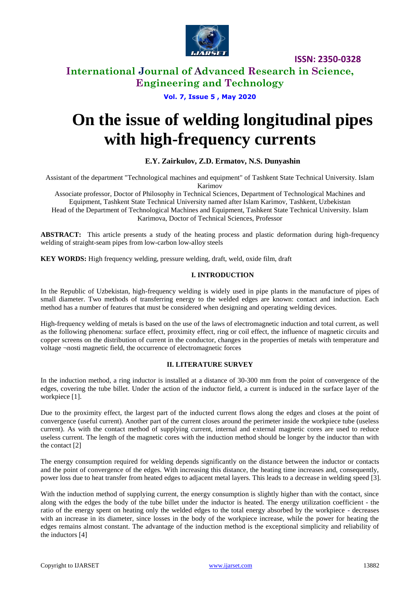

# **International Journal of Advanced Research in Science, Engineering and Technology**

**Vol. 7, Issue 5 , May 2020**

# **On the issue of welding longitudinal pipes with high-frequency currents**

# **E.Y. Zairkulov, Z.D. Ermatov, N.S. Dunyashin**

Assistant of the department "Technological machines and equipment" of Tashkent State Technical University. Islam Karimov

Associate professor, Doctor of Philosophy in Technical Sciences, Department of Technological Machines and Equipment, Tashkent State Technical University named after Islam Karimov, Tashkent, Uzbekistan Head of the Department of Technological Machines and Equipment, Tashkent State Technical University. Islam Karimova, Doctor of Technical Sciences, Professor

**ABSTRACT:** This article presents a study of the heating process and plastic deformation during high-frequency welding of straight-seam pipes from low-carbon low-alloy steels

**KEY WORDS:** High frequency welding, pressure welding, draft, weld, oxide film, draft

#### **I. INTRODUCTION**

In the Republic of Uzbekistan, high-frequency welding is widely used in pipe plants in the manufacture of pipes of small diameter. Two methods of transferring energy to the welded edges are known: contact and induction. Each method has a number of features that must be considered when designing and operating welding devices.

High-frequency welding of metals is based on the use of the laws of electromagnetic induction and total current, as well as the following phenomena: surface effect, proximity effect, ring or coil effect, the influence of magnetic circuits and copper screens on the distribution of current in the conductor, changes in the properties of metals with temperature and voltage ¬nosti magnetic field, the occurrence of electromagnetic forces

#### **II. LITERATURE SURVEY**

In the induction method, a ring inductor is installed at a distance of 30-300 mm from the point of convergence of the edges, covering the tube billet. Under the action of the inductor field, a current is induced in the surface layer of the workpiece [1].

Due to the proximity effect, the largest part of the inducted current flows along the edges and closes at the point of convergence (useful current). Another part of the current closes around the perimeter inside the workpiece tube (useless current). As with the contact method of supplying current, internal and external magnetic cores are used to reduce useless current. The length of the magnetic cores with the induction method should be longer by the inductor than with the contact [2]

The energy consumption required for welding depends significantly on the distance between the inductor or contacts and the point of convergence of the edges. With increasing this distance, the heating time increases and, consequently, power loss due to heat transfer from heated edges to adjacent metal layers. This leads to a decrease in welding speed [3].

With the induction method of supplying current, the energy consumption is slightly higher than with the contact, since along with the edges the body of the tube billet under the inductor is heated. The energy utilization coefficient - the ratio of the energy spent on heating only the welded edges to the total energy absorbed by the workpiece - decreases with an increase in its diameter, since losses in the body of the workpiece increase, while the power for heating the edges remains almost constant. The advantage of the induction method is the exceptional simplicity and reliability of the inductors [4]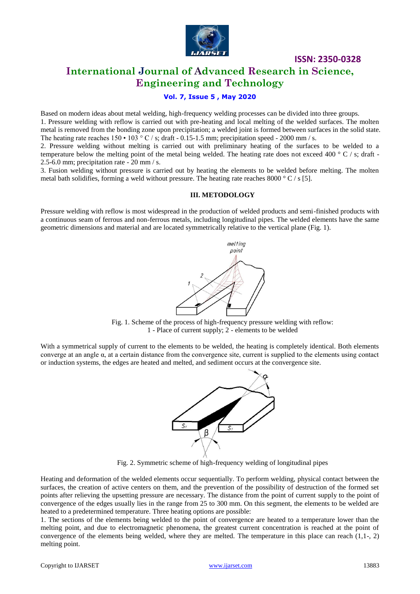

# **International Journal of Advanced Research in Science, Engineering and Technology**

## **Vol. 7, Issue 5 , May 2020**

Based on modern ideas about metal welding, high-frequency welding processes can be divided into three groups. 1. Pressure welding with reflow is carried out with pre-heating and local melting of the welded surfaces. The molten metal is removed from the bonding zone upon precipitation; a welded joint is formed between surfaces in the solid state.

The heating rate reaches  $150 \cdot 103^\circ$  C / s; draft - 0.15-1.5 mm; precipitation speed - 2000 mm / s. 2. Pressure welding without melting is carried out with preliminary heating of the surfaces to be welded to a temperature below the melting point of the metal being welded. The heating rate does not exceed 400  $\degree$  C / s; draft -2.5-6.0 mm; precipitation rate - 20 mm / s.

3. Fusion welding without pressure is carried out by heating the elements to be welded before melting. The molten metal bath solidifies, forming a weld without pressure. The heating rate reaches 8000 ° C / s [5].

#### **III. METODOLOGY**

Pressure welding with reflow is most widespread in the production of welded products and semi-finished products with a continuous seam of ferrous and non-ferrous metals, including longitudinal pipes. The welded elements have the same geometric dimensions and material and are located symmetrically relative to the vertical plane (Fig. 1).



Fig. 1. Scheme of the process of high-frequency pressure welding with reflow: 1 - Place of current supply; 2 - elements to be welded

With a symmetrical supply of current to the elements to be welded, the heating is completely identical. Both elements converge at an angle α, at a certain distance from the convergence site, current is supplied to the elements using contact or induction systems, the edges are heated and melted, and sediment occurs at the convergence site.



Fig. 2. Symmetric scheme of high-frequency welding of longitudinal pipes

Heating and deformation of the welded elements occur sequentially. To perform welding, physical contact between the surfaces, the creation of active centers on them, and the prevention of the possibility of destruction of the formed set points after relieving the upsetting pressure are necessary. The distance from the point of current supply to the point of convergence of the edges usually lies in the range from 25 to 300 mm. On this segment, the elements to be welded are heated to a predetermined temperature. Three heating options are possible:

1. The sections of the elements being welded to the point of convergence are heated to a temperature lower than the melting point, and due to electromagnetic phenomena, the greatest current concentration is reached at the point of convergence of the elements being welded, where they are melted. The temperature in this place can reach (1,1-, 2) melting point.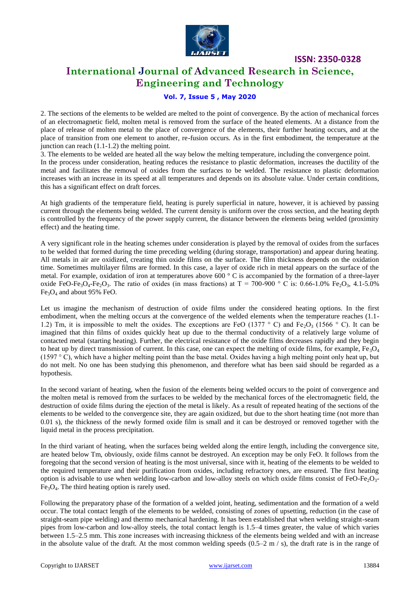

# **International Journal of Advanced Research in Science, Engineering and Technology**

### **Vol. 7, Issue 5 , May 2020**

2. The sections of the elements to be welded are melted to the point of convergence. By the action of mechanical forces of an electromagnetic field, molten metal is removed from the surface of the heated elements. At a distance from the place of release of molten metal to the place of convergence of the elements, their further heating occurs, and at the place of transition from one element to another, re-fusion occurs. As in the first embodiment, the temperature at the junction can reach (1.1-1.2) the melting point.

3. The elements to be welded are heated all the way below the melting temperature, including the convergence point.

In the process under consideration, heating reduces the resistance to plastic deformation, increases the ductility of the metal and facilitates the removal of oxides from the surfaces to be welded. The resistance to plastic deformation increases with an increase in its speed at all temperatures and depends on its absolute value. Under certain conditions, this has a significant effect on draft forces.

At high gradients of the temperature field, heating is purely superficial in nature, however, it is achieved by passing current through the elements being welded. The current density is uniform over the cross section, and the heating depth is controlled by the frequency of the power supply current, the distance between the elements being welded (proximity effect) and the heating time.

A very significant role in the heating schemes under consideration is played by the removal of oxides from the surfaces to be welded that formed during the time preceding welding (during storage, transportation) and appear during heating. All metals in air are oxidized, creating thin oxide films on the surface. The film thickness depends on the oxidation time. Sometimes multilayer films are formed. In this case, a layer of oxide rich in metal appears on the surface of the metal. For example, oxidation of iron at temperatures above 600 ° C is accompanied by the formation of a three-layer oxide FeO-Fe<sub>3</sub>O<sub>4</sub>-Fe<sub>2</sub>O<sub>3</sub>. The ratio of oxides (in mass fractions) at T = 700-900 ° C is: 0.66-1.0% Fe<sub>2</sub>O<sub>3</sub>, 4.1-5.0%  $Fe<sub>3</sub>O<sub>4</sub>$  and about 95% FeO.

Let us imagine the mechanism of destruction of oxide films under the considered heating options. In the first embodiment, when the melting occurs at the convergence of the welded elements when the temperature reaches (1.1- 1.2) Tm, it is impossible to melt the oxides. The exceptions are FeO (1377 ° C) and Fe<sub>2</sub>O<sub>3</sub> (1566 ° C). It can be imagined that thin films of oxides quickly heat up due to the thermal conductivity of a relatively large volume of contacted metal (starting heating). Further, the electrical resistance of the oxide films decreases rapidly and they begin to heat up by direct transmission of current. In this case, one can expect the melting of oxide films, for example,  $Fe<sub>3</sub>O<sub>4</sub>$ (1597  $\degree$  C), which have a higher melting point than the base metal. Oxides having a high melting point only heat up, but do not melt. No one has been studying this phenomenon, and therefore what has been said should be regarded as a hypothesis.

In the second variant of heating, when the fusion of the elements being welded occurs to the point of convergence and the molten metal is removed from the surfaces to be welded by the mechanical forces of the electromagnetic field, the destruction of oxide films during the ejection of the metal is likely. As a result of repeated heating of the sections of the elements to be welded to the convergence site, they are again oxidized, but due to the short heating time (not more than 0.01 s), the thickness of the newly formed oxide film is small and it can be destroyed or removed together with the liquid metal in the process precipitation.

In the third variant of heating, when the surfaces being welded along the entire length, including the convergence site, are heated below Tm, obviously, oxide films cannot be destroyed. An exception may be only FeO. It follows from the foregoing that the second version of heating is the most universal, since with it, heating of the elements to be welded to the required temperature and their purification from oxides, including refractory ones, are ensured. The first heating option is advisable to use when welding low-carbon and low-alloy steels on which oxide films consist of  $FeO-Fe<sub>2</sub>O<sub>3</sub>$ - $Fe<sub>3</sub>O<sub>4</sub>$ . The third heating option is rarely used.

Following the preparatory phase of the formation of a welded joint, heating, sedimentation and the formation of a weld occur. The total contact length of the elements to be welded, consisting of zones of upsetting, reduction (in the case of straight-seam pipe welding) and thermo mechanical hardening. It has been established that when welding straight-seam pipes from low-carbon and low-alloy steels, the total contact length is 1.5–4 times greater, the value of which varies between 1.5–2.5 mm. This zone increases with increasing thickness of the elements being welded and with an increase in the absolute value of the draft. At the most common welding speeds  $(0.5-2 \text{ m/s})$ , the draft rate is in the range of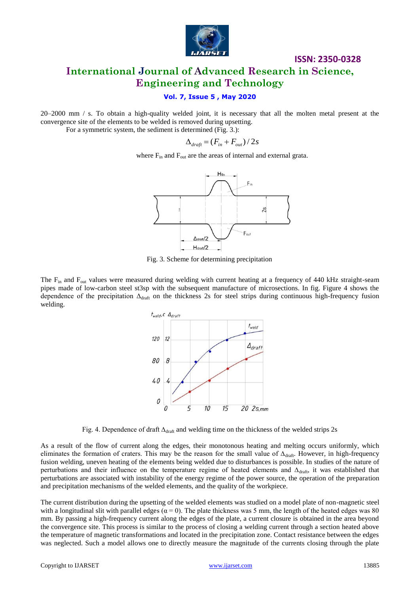

# **ISSN: 2350-0328 International Journal of Advanced Research in Science, Engineering and Technology**

## **Vol. 7, Issue 5 , May 2020**

20–2000 mm / s. To obtain a high-quality welded joint, it is necessary that all the molten metal present at the convergence site of the elements to be welded is removed during upsetting.

For a symmetric system, the sediment is determined (Fig. 3.):

$$
\Delta_{\text{draff}} = (F_{\text{in}} + F_{\text{out}})/2s
$$

where  $F_{in}$  and  $F_{out}$  are the areas of internal and external grata.



Fig. 3. Scheme for determining precipitation

The  $F_{in}$  and  $F_{out}$  values were measured during welding with current heating at a frequency of 440 kHz straight-seam pipes made of low-carbon steel st3sp with the subsequent manufacture of microsections. In fig. Figure 4 shows the dependence of the precipitation  $\Delta_{drat}$  on the thickness 2s for steel strips during continuous high-frequency fusion welding.



Fig. 4. Dependence of draft  $\Delta_{\text{draft}}$  and welding time on the thickness of the welded strips 2s

As a result of the flow of current along the edges, their monotonous heating and melting occurs uniformly, which eliminates the formation of craters. This may be the reason for the small value of  $\Delta_{\text{draf}}$ . However, in high-frequency fusion welding, uneven heating of the elements being welded due to disturbances is possible. In studies of the nature of perturbations and their influence on the temperature regime of heated elements and ∆<sub>draft</sub>, it was established that perturbations are associated with instability of the energy regime of the power source, the operation of the preparation and precipitation mechanisms of the welded elements, and the quality of the workpiece.

The current distribution during the upsetting of the welded elements was studied on a model plate of non-magnetic steel with a longitudinal slit with parallel edges  $(a = 0)$ . The plate thickness was 5 mm, the length of the heated edges was 80 mm. By passing a high-frequency current along the edges of the plate, a current closure is obtained in the area beyond the convergence site. This process is similar to the process of closing a welding current through a section heated above the temperature of magnetic transformations and located in the precipitation zone. Contact resistance between the edges was neglected. Such a model allows one to directly measure the magnitude of the currents closing through the plate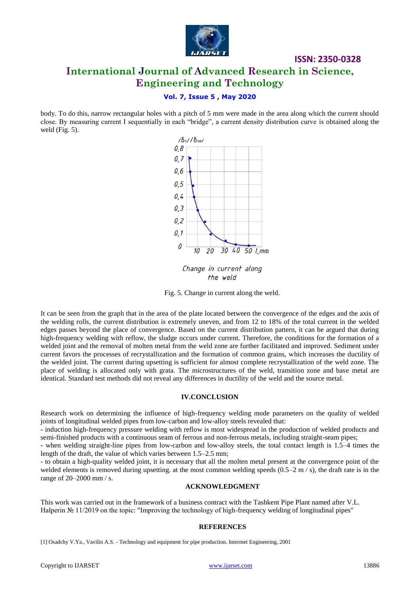

# **International Journal of Advanced Research in Science, Engineering and Technology**

**ISSN: 2350-0328**

## **Vol. 7, Issue 5 , May 2020**

body. To do this, narrow rectangular holes with a pitch of 5 mm were made in the area along which the current should close. By measuring current I sequentially in each "bridge", a current density distribution curve is obtained along the weld (Fig. 5).



Change in current along the weld

Fig. 5. Change in current along the weld.

It can be seen from the graph that in the area of the plate located between the convergence of the edges and the axis of the welding rolls, the current distribution is extremely uneven, and from 12 to 18% of the total current in the welded edges passes beyond the place of convergence. Based on the current distribution pattern, it can be argued that during high-frequency welding with reflow, the sludge occurs under current. Therefore, the conditions for the formation of a welded joint and the removal of molten metal from the weld zone are further facilitated and improved. Sediment under current favors the processes of recrystallization and the formation of common grains, which increases the ductility of the welded joint. The current during upsetting is sufficient for almost complete recrystallization of the weld zone. The place of welding is allocated only with grata. The microstructures of the weld, transition zone and base metal are identical. Standard test methods did not reveal any differences in ductility of the weld and the source metal.

#### **IV.CONCLUSION**

Research work on determining the influence of high-frequency welding mode parameters on the quality of welded joints of longitudinal welded pipes from low-carbon and low-alloy steels revealed that:

- induction high-frequency pressure welding with reflow is most widespread in the production of welded products and semi-finished products with a continuous seam of ferrous and non-ferrous metals, including straight-seam pipes;

- when welding straight-line pipes from low-carbon and low-alloy steels, the total contact length is 1.5–4 times the length of the draft, the value of which varies between 1.5–2.5 mm;

- to obtain a high-quality welded joint, it is necessary that all the molten metal present at the convergence point of the welded elements is removed during upsetting. at the most common welding speeds  $(0.5-2 \text{ m/s})$ , the draft rate is in the range of 20–2000 mm / s.

#### **ACKNOWLEDGMENT**

This work was carried out in the framework of a business contract with the Tashkent Pipe Plant named after V.L. Halperin № 11/2019 on the topic: "Improving the technology of high-frequency welding of longitudinal pipes"

#### **REFERENCES**

[1] Osadchy V.Ya., Vavilin A.S. - Technology and equipment for pipe production. Intermet Engineering, 2001